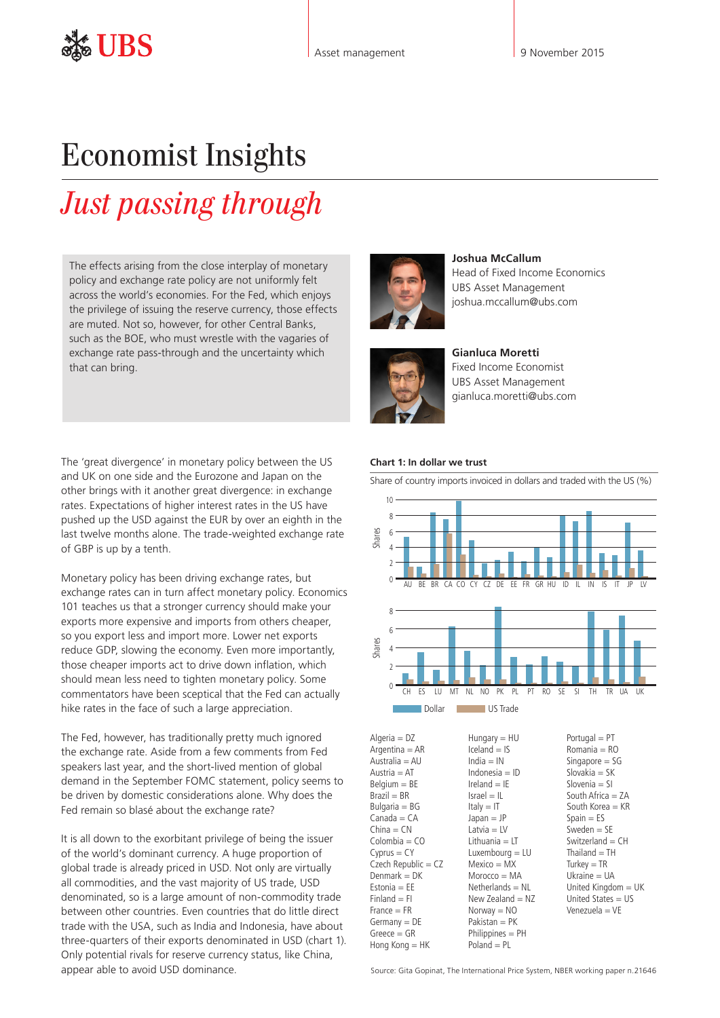## Economist Insights

# *Just passing through*

The effects arising from the close interplay of monetary policy and exchange rate policy are not uniformly felt across the world's economies. For the Fed, which enjoys the privilege of issuing the reserve currency, those effects are muted. Not so, however, for other Central Banks, such as the BOE, who must wrestle with the vagaries of exchange rate pass-through and the uncertainty which that can bring.

The 'great divergence' in monetary policy between the US and UK on one side and the Eurozone and Japan on the other brings with it another great divergence: in exchange rates. Expectations of higher interest rates in the US have pushed up the USD against the EUR by over an eighth in the last twelve months alone. The trade-weighted exchange rate of GBP is up by a tenth.

Monetary policy has been driving exchange rates, but exchange rates can in turn affect monetary policy. Economics 101 teaches us that a stronger currency should make your exports more expensive and imports from others cheaper, so you export less and import more. Lower net exports reduce GDP, slowing the economy. Even more importantly, those cheaper imports act to drive down inflation, which should mean less need to tighten monetary policy. Some commentators have been sceptical that the Fed can actually hike rates in the face of such a large appreciation.

The Fed, however, has traditionally pretty much ignored the exchange rate. Aside from a few comments from Fed speakers last year, and the short-lived mention of global demand in the September FOMC statement, policy seems to be driven by domestic considerations alone. Why does the Fed remain so blasé about the exchange rate?

It is all down to the exorbitant privilege of being the issuer of the world's dominant currency. A huge proportion of global trade is already priced in USD. Not only are virtually all commodities, and the vast majority of US trade, USD denominated, so is a large amount of non-commodity trade between other countries. Even countries that do little direct trade with the USA, such as India and Indonesia, have about three-quarters of their exports denominated in USD (chart 1). Only potential rivals for reserve currency status, like China, appear able to avoid USD dominance.



**Joshua McCallum** Head of Fixed Income Economics UBS Asset Management joshua.mccallum@ubs.com



**Gianluca Moretti**  Fixed Income Economist UBS Asset Management gianluca.moretti@ubs.com

### **Chart 1: In dollar we trust**

Share of country imports invoiced in dollars and traded with the US (%)



Algeria = DZ  $Argentina = AR$  $A$ ustralia =  $AU$  $A$ ustria =  $AT$  $Belqium = BE$  $Brazil = BR$ Bulgaria = BG  $Canada = CA$  $China = CN$  $Colombia = CO$  $Cyprus = CY$ Czech Republic = CZ  $Denmark = DK$ Estonia  $=$  EE  $Finaland = Fl$  $France = FR$  $Germany = DE$  $G$ reece  $=$   $GR$ Hong Kong = HK Hungary = HU  $I$ celand =  $IS$  $India = IN$ Indonesia = ID  $I$ reland  $=$  IE  $Israel = II$  $Italv = IT$  $lanan = IP$ Latvia  $=$  LV Lithuania = LT Luxembourg = LU Mexico = MX Morocco = MA  $N$ etherlands =  $NL$ New Zealand  $=$  NZ  $Norway = NO$ Pakistan = PK Philippines = PH  $Poland = PL$ 



Source: Gita Gopinat, The International Price System, NBER working paper n.21646